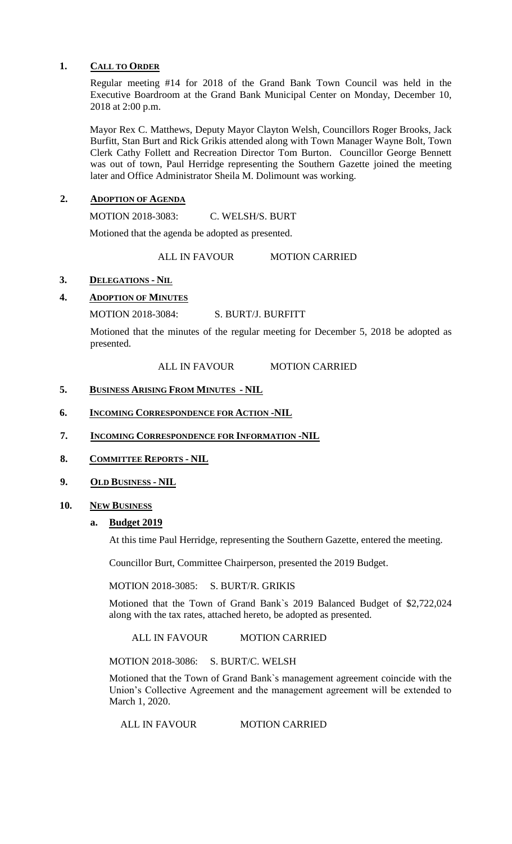#### **1. CALL TO ORDER**

Regular meeting #14 for 2018 of the Grand Bank Town Council was held in the Executive Boardroom at the Grand Bank Municipal Center on Monday, December 10, 2018 at 2:00 p.m.

Mayor Rex C. Matthews, Deputy Mayor Clayton Welsh, Councillors Roger Brooks, Jack Burfitt, Stan Burt and Rick Grikis attended along with Town Manager Wayne Bolt, Town Clerk Cathy Follett and Recreation Director Tom Burton. Councillor George Bennett was out of town, Paul Herridge representing the Southern Gazette joined the meeting later and Office Administrator Sheila M. Dolimount was working.

### **2. ADOPTION OF AGENDA**

MOTION 2018-3083: C. WELSH/S. BURT

Motioned that the agenda be adopted as presented.

ALL IN FAVOUR MOTION CARRIED

## **3. DELEGATIONS - NIL**

## **4. ADOPTION OF MINUTES**

MOTION 2018-3084: S. BURT/J. BURFITT

Motioned that the minutes of the regular meeting for December 5, 2018 be adopted as presented.

ALL IN FAVOUR MOTION CARRIED

#### **5. BUSINESS ARISING FROM MINUTES - NIL**

- **6. INCOMING CORRESPONDENCE FOR ACTION -NIL**
- **7. INCOMING CORRESPONDENCE FOR INFORMATION -NIL**
- **8. COMMITTEE REPORTS - NIL**
- **9. OLD BUSINESS - NIL**

#### **10. NEW BUSINESS**

#### **a. Budget 2019**

At this time Paul Herridge, representing the Southern Gazette, entered the meeting.

Councillor Burt, Committee Chairperson, presented the 2019 Budget.

MOTION 2018-3085: S. BURT/R. GRIKIS

Motioned that the Town of Grand Bank`s 2019 Balanced Budget of \$2,722,024 along with the tax rates, attached hereto, be adopted as presented.

ALL IN FAVOUR MOTION CARRIED

MOTION 2018-3086: S. BURT/C. WELSH

Motioned that the Town of Grand Bank`s management agreement coincide with the Union's Collective Agreement and the management agreement will be extended to March 1, 2020.

ALL IN FAVOUR MOTION CARRIED